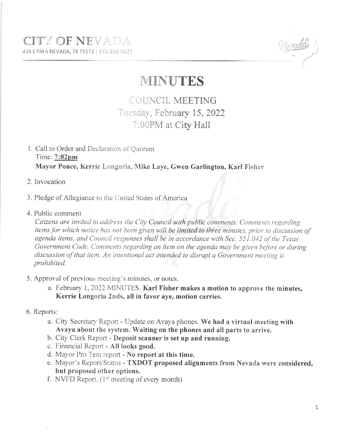### **CITY OF NEVADA** 424 E FM 6 NEVADA, TX 75173 | 972-853-0027



# **MINUTES**

## COUNCIL MEETING Tuesday, February 15, 2022 7:00PM at City Hall

#### 1. Call to Order and Declaration of Quorum Time:  $7:02 \text{pm}$ Mayor Ponce, Kerrie Longoria, Mike Laye, Gwen Garlington, Karl Fisher

- 2. Invocation
- 3. Pledge of Allegiance to the United States of America
- 4. Public comment

Citizens are invited to address the City Council with public comments. Comments regarding items for which notice has not been given will be limited to three minutes, prior to discussion of agenda items, and Council responses shall be in accordance with Sec. 551.042 of the Texas Government Code. Comments regarding an item on the agenda may be given before or during discussion of that item. An intentional act intended to disrupt a Government meeting is prohibited.

- 5. Approval of previous meeting's minutes, or notes.
	- a. February 1, 2022 MINUTES. Karl Fisher makes a motion to approve the minutes. Kerrie Longoria 2nds, all in favor aye, motion carries.
- 6. Reports:
	- a. City Secretary Report Update on Avaya phones. We had a virtual meeting with Avaya about the system. Waiting on the phones and all parts to arrive.
	- b. City Clerk Report Deposit scanner is set up and running.
	- c. Financial Report All looks good.
	- d. Mayor Pro Tem report No report at this time.
	- e. Mayor's Report/Status TXDOT proposed alignments from Nevada were considered, but proposed other options.
	- f. NVFD Report.  $(1<sup>st</sup> meeting of every month)$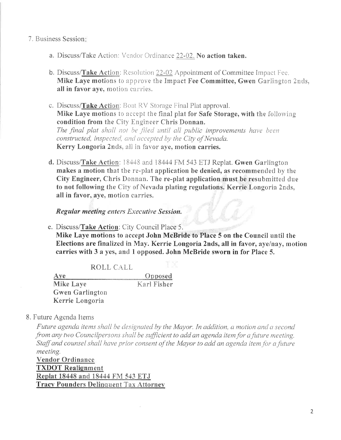#### 7. Business Session:

- a. Discuss/Take Action: Vendor Ordinance 22-02. No action taken.
- **b.** Discuss/Take Action: Resolution 22-02 Appointment of Committee Impact Fee. Mike Laye motions to approve the Impact Fee Committee, Gwen Garlington 2nds, all in favor aye, motion carries.
- c. Discuss/Take Action: Boat RV Storage Final Plat approval. Mike Laye motions to accept the final plat for Safe Storage, with the following condition from the City Engineer Chris Donnan. The final plat shall not be filed until all public improvements have been constructed, inspected, and accepted by the City of Nevada. Kerry Longoria 2nds, all in favor aye, motion carries.
- d. Discuss/Take Action: 18448 and 18444 FM 543 ETJ Replat. Gwen Garlington makes a motion that the re-plat application be denied, as recommended by the City Engineer, Chris Donnan. The re-plat application must be resubmitted due to not following the City of Nevada plating regulations. Kerrie Longoria 2nds, all in favor, aye, motion carries.

#### Regular meeting enters Executive Session.

e. Discuss/Take Action: City Council Place 5.

Mike Laye motions to accept John McBride to Place 5 on the Council until the Elections are finalized in May. Kerrie Longoria 2nds, all in favor, aye/nay, motion carries with 3 a yes, and 1 opposed. John McBride sworn in for Place 5.

ROLL CALL

 $Ave$ Opposed **Mike Laye** Karl Fisher **Gwen Garlington** Kerrie Longoria

#### 8. Future Agenda Items

Future agenda items shall be designated by the Mayor. In addition, a motion and a second from any two Councilpersons shall be sufficient to add an agenda item for a future meeting. Staff and counsel shall have prior consent of the Mayor to add an agenda item for a future meeting.

**Vendor Ordinance TXDOT** Realignment Replat 18448 and 18444 FM 543 ETJ **Tracy Pounders Delinquent Tax Attorney**